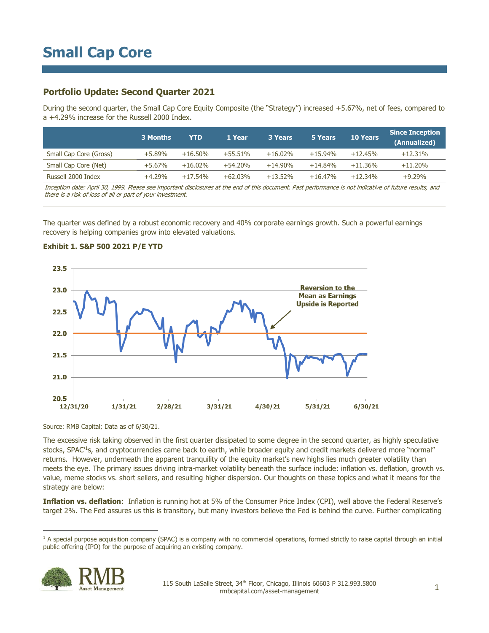### **Portfolio Update: Second Quarter 2021**

During the second quarter, the Small Cap Core Equity Composite (the "Strategy") increased +5.67%, net of fees, compared to a +4.29% increase for the Russell 2000 Index.

|                        | 3 Months | <b>YTD</b> | 1 Year    | 3 Years   | 5 Years   | <b>10 Years</b> | <b>Since Inception</b><br>(Annualized) |
|------------------------|----------|------------|-----------|-----------|-----------|-----------------|----------------------------------------|
| Small Cap Core (Gross) | $+5.89%$ | $+16.50\%$ | $+55.51%$ | $+16.02%$ | $+15.94%$ | $+12.45%$       | $+12.31%$                              |
| Small Cap Core (Net)   | $+5.67%$ | $+16.02%$  | $+54.20%$ | $+14.90%$ | $+14.84%$ | $+11.36%$       | $+11.20\%$                             |
| Russell 2000 Index     | $+4.29%$ | $+17.54%$  | $+62.03%$ | $+13.52%$ | $+16.47%$ | $+12.34%$       | $+9.29%$                               |

Inception date: April 30, 1999. Please see important disclosures at the end of this document. Past performance is not indicative of future results, and there is a risk of loss of all or part of your investment.

The quarter was defined by a robust economic recovery and 40% corporate earnings growth. Such a powerful earnings recovery is helping companies grow into elevated valuations.



### **Exhibit 1. S&P 500 2021 P/E YTD**

Source: RMB Capital; Data as of 6/30/21.

The excessive risk taking observed in the first quarter dissipated to some degree in the second quarter, as highly speculative stocks, SPAC<sup>1</sup>s, and cryptocurrencies came back to earth, while broader equity and credit markets delivered more "normal" returns. However, underneath the apparent tranquility of the equity market's new highs lies much greater volatility than meets the eye. The primary issues driving intra-market volatility beneath the surface include: inflation vs. deflation, growth vs. value, meme stocks vs. short sellers, and resulting higher dispersion. Our thoughts on these topics and what it means for the strategy are below:

**Inflation vs. deflation**: Inflation is running hot at 5% of the Consumer Price Index (CPI), well above the Federal Reserve's target 2%. The Fed assures us this is transitory, but many investors believe the Fed is behind the curve. Further complicating

<sup>&</sup>lt;sup>1</sup> A special purpose acquisition company (SPAC) is a company with no commercial operations, formed strictly to raise capital through an initial public offering (IPO) for the purpose of acquiring an existing company.

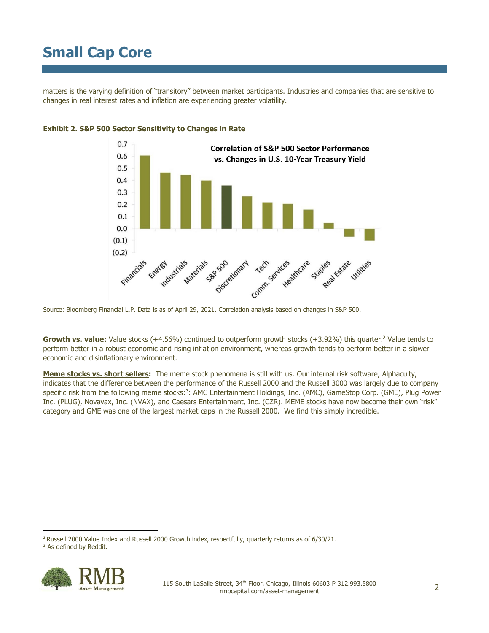matters is the varying definition of "transitory" between market participants. Industries and companies that are sensitive to changes in real interest rates and inflation are experiencing greater volatility.



### **Exhibit 2. S&P 500 Sector Sensitivity to Changes in Rate**

Source: Bloomberg Financial L.P. Data is as of April 29, 2021. Correlation analysis based on changes in S&P 500.

**Growth vs. value:** Value stocks (+4.56%) continued to outperform growth stocks (+3.92%) this quarter.<sup>2</sup> Value tends to perform better in a robust economic and rising inflation environment, whereas growth tends to perform better in a slower economic and disinflationary environment.

**Meme stocks vs. short sellers:** The meme stock phenomena is still with us. Our internal risk software, Alphacuity, indicates that the difference between the performance of the Russell 2000 and the Russell 3000 was largely due to company specific risk from the following meme stocks:<sup>3</sup>: AMC Entertainment Holdings, Inc. (AMC), GameStop Corp. (GME), Plug Power Inc. (PLUG), Novavax, Inc. (NVAX), and Caesars Entertainment, Inc. (CZR). MEME stocks have now become their own "risk" category and GME was one of the largest market caps in the Russell 2000. We find this simply incredible.

<sup>&</sup>lt;sup>2</sup> Russell 2000 Value Index and Russell 2000 Growth index, respectfully, quarterly returns as of 6/30/21.



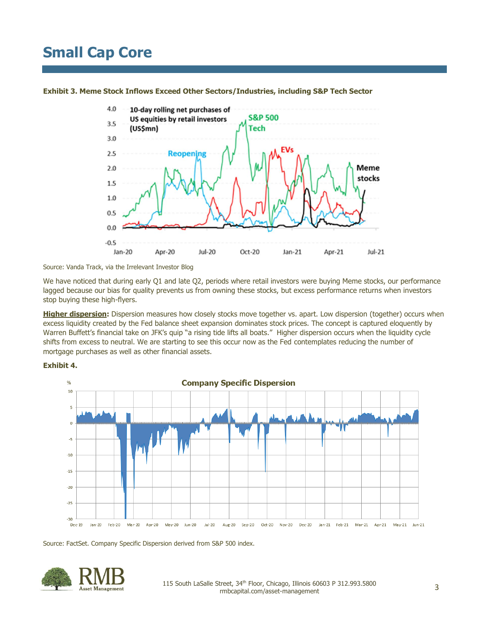

**Exhibit 3. Meme Stock Inflows Exceed Other Sectors/Industries, including S&P Tech Sector**

Source: Vanda Track, via the Irrelevant Investor Blog

We have noticed that during early Q1 and late Q2, periods where retail investors were buying Meme stocks, our performance lagged because our bias for quality prevents us from owning these stocks, but excess performance returns when investors stop buying these high-flyers.

**Higher dispersion:** Dispersion measures how closely stocks move together vs. apart. Low dispersion (together) occurs when excess liquidity created by the Fed balance sheet expansion dominates stock prices. The concept is captured eloquently by Warren Buffett's financial take on JFK's quip "a rising tide lifts all boats." Higher dispersion occurs when the liquidity cycle shifts from excess to neutral. We are starting to see this occur now as the Fed contemplates reducing the number of mortgage purchases as well as other financial assets.





Source: FactSet. Company Specific Dispersion derived from S&P 500 index.

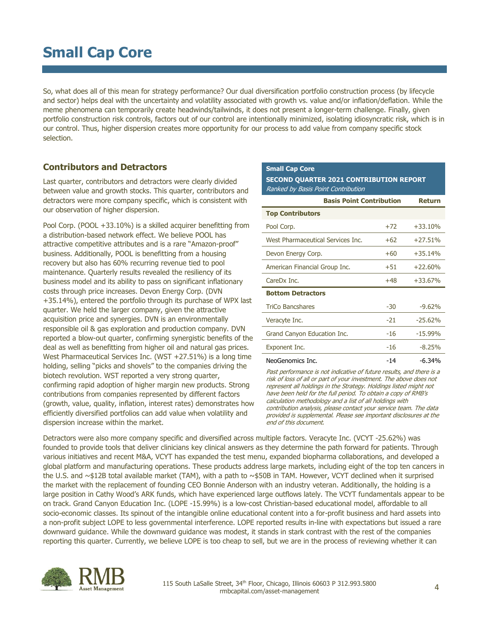So, what does all of this mean for strategy performance? Our dual diversification portfolio construction process (by lifecycle and sector) helps deal with the uncertainty and volatility associated with growth vs. value and/or inflation/deflation. While the meme phenomena can temporarily create headwinds/tailwinds, it does not present a longer-term challenge. Finally, given portfolio construction risk controls, factors out of our control are intentionally minimized, isolating idiosyncratic risk, which is in our control. Thus, higher dispersion creates more opportunity for our process to add value from company specific stock selection.

### **Contributors and Detractors**

Last quarter, contributors and detractors were clearly divided between value and growth stocks. This quarter, contributors and detractors were more company specific, which is consistent with our observation of higher dispersion.

Pool Corp. (POOL +33.10%) is a skilled acquirer benefitting from a distribution-based network effect. We believe POOL has attractive competitive attributes and is a rare "Amazon-proof" business. Additionally, POOL is benefitting from a housing recovery but also has 60% recurring revenue tied to pool maintenance. Quarterly results revealed the resiliency of its business model and its ability to pass on significant inflationary costs through price increases. Devon Energy Corp. (DVN +35.14%), entered the portfolio through its purchase of WPX last quarter. We held the larger company, given the attractive acquisition price and synergies. DVN is an environmentally responsible oil & gas exploration and production company. DVN reported a blow-out quarter, confirming synergistic benefits of the deal as well as benefitting from higher oil and natural gas prices. West Pharmaceutical Services Inc. (WST +27.51%) is a long time holding, selling "picks and shovels" to the companies driving the biotech revolution. WST reported a very strong quarter, confirming rapid adoption of higher margin new products. Strong contributions from companies represented by different factors (growth, value, quality, inflation, interest rates) demonstrates how efficiently diversified portfolios can add value when volatility and dispersion increase within the market.

**Small Cap Core**

**SECOND QUARTER 2021 CONTRIBUTION REPORT** Ranked by Basis Point Contribution

|                                   | <b>Basis Point Contribution</b> |           |  |
|-----------------------------------|---------------------------------|-----------|--|
| <b>Top Contributors</b>           |                                 |           |  |
| Pool Corp.                        | $+72$                           | $+33.10%$ |  |
| West Pharmaceutical Services Inc. | $+62$                           | $+27.51%$ |  |
| Devon Energy Corp.                | $+60$                           | $+35.14%$ |  |
| American Financial Group Inc.     | $+51$                           | $+22.60%$ |  |
| CareDx Inc.                       | +48                             | $+33.67%$ |  |
| <b>Bottom Detractors</b>          |                                 |           |  |
| <b>TriCo Bancshares</b>           | $-30$                           | $-9.62%$  |  |
| Veracyte Inc.                     | $-21$                           | $-25.62%$ |  |
| Grand Canyon Education Inc.       | $-16$                           | $-15.99%$ |  |
| Exponent Inc.                     | $-16$                           | $-8.25%$  |  |
| NeoGenomics Inc.                  | -14                             | $-6.34%$  |  |

Past performance is not indicative of future results, and there is a risk of loss of all or part of your investment. The above does not represent all holdings in the Strategy. Holdings listed might not have been held for the full period. To obtain a copy of RMB's calculation methodology and a list of all holdings with contribution analysis, please contact your service team. The data provided is supplemental. Please see important disclosures at the end of this document.

Detractors were also more company specific and diversified across multiple factors. Veracyte Inc. (VCYT -25.62%) was founded to provide tools that deliver clinicians key clinical answers as they determine the path forward for patients. Through various initiatives and recent M&A, VCYT has expanded the test menu, expanded biopharma collaborations, and developed a global platform and manufacturing operations. These products address large markets, including eight of the top ten cancers in the U.S. and ~\$12B total available market (TAM), with a path to ~\$50B in TAM. However, VCYT declined when it surprised the market with the replacement of founding CEO Bonnie Anderson with an industry veteran. Additionally, the holding is a large position in Cathy Wood's ARK funds, which have experienced large outflows lately. The VCYT fundamentals appear to be on track. Grand Canyon Education Inc. (LOPE -15.99%) is a low-cost Christian-based educational model, affordable to all socio-economic classes. Its spinout of the intangible online educational content into a for-profit business and hard assets into a non-profit subject LOPE to less governmental interference. LOPE reported results in-line with expectations but issued a rare downward guidance. While the downward guidance was modest, it stands in stark contrast with the rest of the companies reporting this quarter. Currently, we believe LOPE is too cheap to sell, but we are in the process of reviewing whether it can

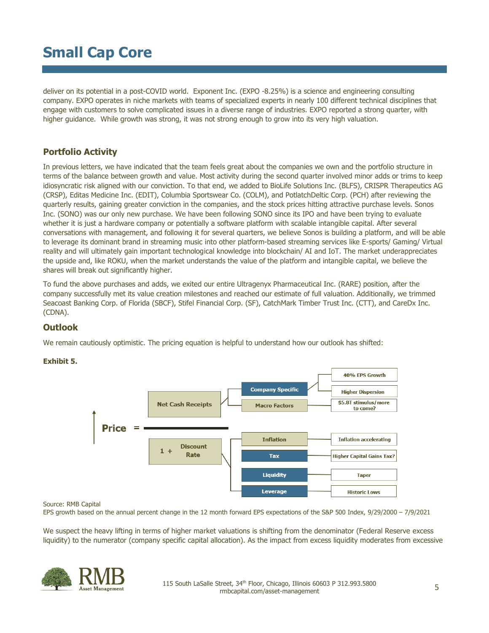deliver on its potential in a post-COVID world. Exponent Inc. (EXPO -8.25%) is a science and engineering consulting company. EXPO operates in niche markets with teams of specialized experts in nearly 100 different technical disciplines that engage with customers to solve complicated issues in a diverse range of industries. EXPO reported a strong quarter, with higher guidance. While growth was strong, it was not strong enough to grow into its very high valuation.

### **Portfolio Activity**

In previous letters, we have indicated that the team feels great about the companies we own and the portfolio structure in terms of the balance between growth and value. Most activity during the second quarter involved minor adds or trims to keep idiosyncratic risk aligned with our conviction. To that end, we added to BioLife Solutions Inc. (BLFS), CRISPR Therapeutics AG (CRSP), Editas Medicine Inc. (EDIT), Columbia Sportswear Co. (COLM), and PotlatchDeltic Corp. (PCH) after reviewing the quarterly results, gaining greater conviction in the companies, and the stock prices hitting attractive purchase levels. Sonos Inc. (SONO) was our only new purchase. We have been following SONO since its IPO and have been trying to evaluate whether it is just a hardware company or potentially a software platform with scalable intangible capital. After several conversations with management, and following it for several quarters, we believe Sonos is building a platform, and will be able to leverage its dominant brand in streaming music into other platform-based streaming services like E-sports/ Gaming/ Virtual reality and will ultimately gain important technological knowledge into blockchain/ AI and IoT. The market underappreciates the upside and, like ROKU, when the market understands the value of the platform and intangible capital, we believe the shares will break out significantly higher.

To fund the above purchases and adds, we exited our entire Ultragenyx Pharmaceutical Inc. (RARE) position, after the company successfully met its value creation milestones and reached our estimate of full valuation. Additionally, we trimmed Seacoast Banking Corp. of Florida (SBCF), Stifel Financial Corp. (SF), CatchMark Timber Trust Inc. (CTT), and CareDx Inc. (CDNA).

### **Outlook**

We remain cautiously optimistic. The pricing equation is helpful to understand how our outlook has shifted:

### **Exhibit 5.**



#### Source: RMB Capital

EPS growth based on the annual percent change in the 12 month forward EPS expectations of the S&P 500 Index, 9/29/2000 – 7/9/2021

We suspect the heavy lifting in terms of higher market valuations is shifting from the denominator (Federal Reserve excess liquidity) to the numerator (company specific capital allocation). As the impact from excess liquidity moderates from excessive

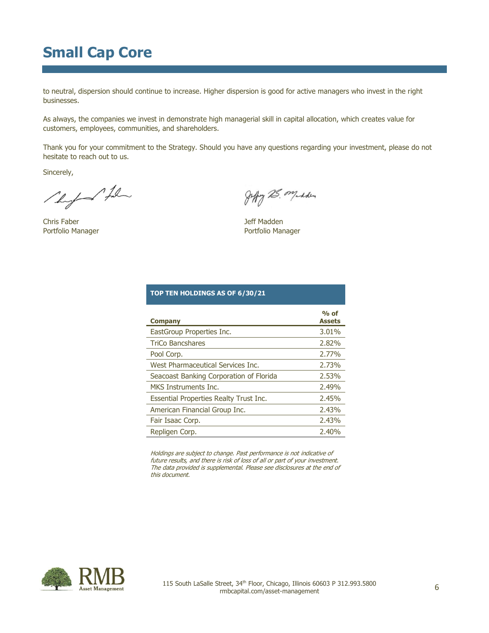to neutral, dispersion should continue to increase. Higher dispersion is good for active managers who invest in the right businesses.

As always, the companies we invest in demonstrate high managerial skill in capital allocation, which creates value for customers, employees, communities, and shareholders.

Thank you for your commitment to the Strategy. Should you have any questions regarding your investment, please do not hesitate to reach out to us.

Sincerely,

Photo film

Chris Faber **Chris Faber Jeff Madden** 

Joffy 25. maden

Portfolio Manager **Portfolio Manager** Portfolio Manager

| TOP TEN HOLDINGS AS OF 6/30/21                |                         |  |  |  |  |
|-----------------------------------------------|-------------------------|--|--|--|--|
| <b>Company</b>                                | $%$ of<br><b>Assets</b> |  |  |  |  |
| EastGroup Properties Inc.                     | 3.01%                   |  |  |  |  |
| <b>TriCo Bancshares</b>                       | 2.82%                   |  |  |  |  |
| Pool Corp.                                    | 2.77%                   |  |  |  |  |
| West Pharmaceutical Services Inc.             | 2.73%                   |  |  |  |  |
| Seacoast Banking Corporation of Florida       | 2.53%                   |  |  |  |  |
| MKS Instruments Inc.                          | 2.49%                   |  |  |  |  |
| <b>Essential Properties Realty Trust Inc.</b> | 2,45%                   |  |  |  |  |
| American Financial Group Inc.                 | 2.43%                   |  |  |  |  |
| Fair Isaac Corp.                              | 2.43%                   |  |  |  |  |
| Repligen Corp.                                | 2.40%                   |  |  |  |  |
|                                               |                         |  |  |  |  |

Holdings are subject to change. Past performance is not indicative of future results, and there is risk of loss of all or part of your investment. The data provided is supplemental. Please see disclosures at the end of this document.

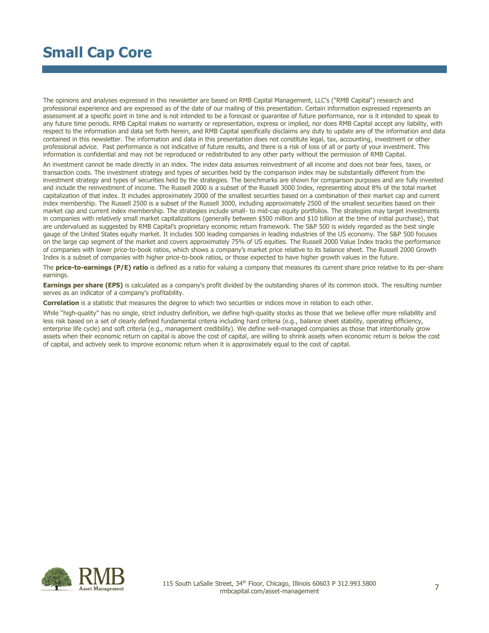The opinions and analyses expressed in this newsletter are based on RMB Capital Management, LLC's ("RMB Capital") research and professional experience and are expressed as of the date of our mailing of this presentation. Certain information expressed represents an assessment at a specific point in time and is not intended to be a forecast or guarantee of future performance, nor is it intended to speak to any future time periods. RMB Capital makes no warranty or representation, express or implied, nor does RMB Capital accept any liability, with respect to the information and data set forth herein, and RMB Capital specifically disclaims any duty to update any of the information and data contained in this newsletter. The information and data in this presentation does not constitute legal, tax, accounting, investment or other professional advice. Past performance is not indicative of future results, and there is a risk of loss of all or party of your investment. This information is confidential and may not be reproduced or redistributed to any other party without the permission of RMB Capital.

An investment cannot be made directly in an index. The index data assumes reinvestment of all income and does not bear fees, taxes, or transaction costs. The investment strategy and types of securities held by the comparison index may be substantially different from the investment strategy and types of securities held by the strategies. The benchmarks are shown for comparison purposes and are fully invested and include the reinvestment of income. The Russell 2000 is a subset of the Russell 3000 Index, representing about 8% of the total market capitalization of that index. It includes approximately 2000 of the smallest securities based on a combination of their market cap and current index membership. The Russell 2500 is a subset of the Russell 3000, including approximately 2500 of the smallest securities based on their market cap and current index membership. The strategies include small- to mid-cap equity portfolios. The strategies may target investments in companies with relatively small market capitalizations (generally between \$500 million and \$10 billion at the time of initial purchase), that are undervalued as suggested by RMB Capital's proprietary economic return framework. The S&P 500 is widely regarded as the best single gauge of the United States equity market. It includes 500 leading companies in leading industries of the US economy. The S&P 500 focuses on the large cap segment of the market and covers approximately 75% of US equities. The Russell 2000 Value Index tracks the performance of companies with lower price-to-book ratios, which shows a company's market price relative to its balance sheet. The Russell 2000 Growth Index is a subset of companies with higher price-to-book ratios, or those expected to have higher growth values in the future.

The **price-to-earnings (P/E) ratio** is defined as a ratio for valuing a company that measures its current share price relative to its per-share earnings.

**Earnings per share (EPS)** is calculated as a company's profit divided by the outstanding shares of its common stock. The resulting number serves as an indicator of a company's profitability.

**Correlation** is a statistic that measures the degree to which two securities or indices move in relation to each other.

While "high-quality" has no single, strict industry definition, we define high-quality stocks as those that we believe offer more reliability and less risk based on a set of clearly defined fundamental criteria including hard criteria (e.g., balance sheet stability, operating efficiency, enterprise life cycle) and soft criteria (e.g., management credibility). We define well-managed companies as those that intentionally grow assets when their economic return on capital is above the cost of capital, are willing to shrink assets when economic return is below the cost of capital, and actively seek to improve economic return when it is approximately equal to the cost of capital.

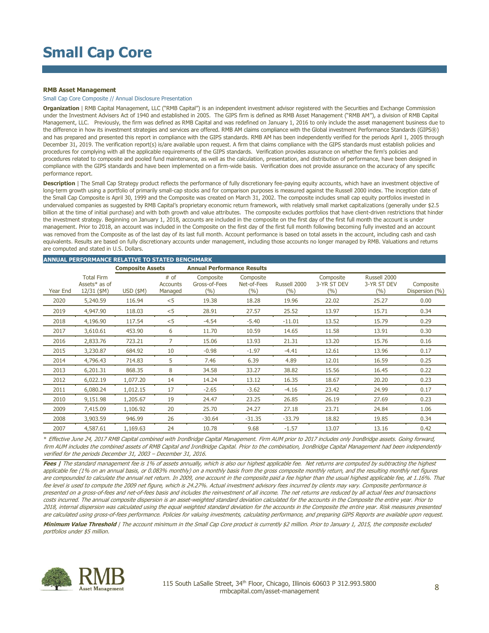#### **RMB Asset Management**

Small Cap Core Composite // Annual Disclosure Presentation

**Organization** | RMB Capital Management, LLC ("RMB Capital") is an independent investment advisor registered with the Securities and Exchange Commission under the Investment Advisers Act of 1940 and established in 2005. The GIPS firm is defined as RMB Asset Management ("RMB AM"), a division of RMB Capital Management, LLC. Previously, the firm was defined as RMB Capital and was redefined on January 1, 2016 to only include the asset management business due to the difference in how its investment strategies and services are offered. RMB AM claims compliance with the Global investment Performance Standards (GIPS®) and has prepared and presented this report in compliance with the GIPS standards. RMB AM has been independently verified for the periods April 1, 2005 through December 31, 2019. The verification report(s) is/are available upon request. A firm that claims compliance with the GIPS standards must establish policies and procedures for complying with all the applicable requirements of the GIPS standards. Verification provides assurance on whether the firm's policies and procedures related to composite and pooled fund maintenance, as well as the calculation, presentation, and distribution of performance, have been designed in compliance with the GIPS standards and have been implemented on a firm-wide basis. Verification does not provide assurance on the accuracy of any specific performance report.

Description | The Small Cap Strategy product reflects the performance of fully discretionary fee-paying equity accounts, which have an investment objective of long-term growth using a portfolio of primarily small-cap stocks and for comparison purposes is measured against the Russell 2000 index. The inception date of the Small Cap Composite is April 30, 1999 and the Composite was created on March 31, 2002. The composite includes small cap equity portfolios invested in undervalued companies as suggested by RMB Capital's proprietary economic return framework, with relatively small market capitalizations (generally under \$2.5 billion at the time of initial purchase) and with both growth and value attributes. The composite excludes portfolios that have client-driven restrictions that hinder the investment strategy. Beginning on January 1, 2018, accounts are included in the composite on the first day of the first full month the account is under management. Prior to 2018, an account was included in the Composite on the first day of the first full month following becoming fully invested and an account was removed from the Composite as of the last day of its last full month. Account performance is based on total assets in the account, including cash and cash equivalents. Results are based on fully discretionary accounts under management, including those accounts no longer managed by RMB. Valuations and returns are computed and stated in U.S. Dollars.

#### **ANNUAL PERFORMANCE RELATIVE TO STATED BENCHMARK**

|          |                                                   | <b>Composite Assets</b> |                             | <b>Annual Performance Results</b> |                                 |                       |                                   |                                      |                             |
|----------|---------------------------------------------------|-------------------------|-----------------------------|-----------------------------------|---------------------------------|-----------------------|-----------------------------------|--------------------------------------|-----------------------------|
| Year End | <b>Total Firm</b><br>Assets* as of<br>12/31 (\$M) | $USD$ (\$M)             | # of<br>Accounts<br>Managed | Composite<br>Gross-of-Fees<br>(%) | Composite<br>Net-of-Fees<br>(%) | Russell 2000<br>(9/6) | Composite<br>3-YR ST DEV<br>(9/0) | Russell 2000<br>3-YR ST DEV<br>(9/0) | Composite<br>Dispersion (%) |
| 2020     | 5,240.59                                          | 116.94                  | $<$ 5                       | 19.38                             | 18.28                           | 19.96                 | 22.02                             | 25.27                                | 0.00                        |
| 2019     | 4,947.90                                          | 118.03                  | < 5                         | 28.91                             | 27.57                           | 25.52                 | 13.97                             | 15.71                                | 0.34                        |
| 2018     | 4,196.90                                          | 117.54                  | $<$ 5                       | $-4.54$                           | $-5.40$                         | $-11.01$              | 13.52                             | 15.79                                | 0.29                        |
| 2017     | 3,610.61                                          | 453.90                  | 6                           | 11.70                             | 10.59                           | 14.65                 | 11.58                             | 13.91                                | 0.30                        |
| 2016     | 2,833.76                                          | 723.21                  | $\overline{7}$              | 15.06                             | 13.93                           | 21.31                 | 13.20                             | 15.76                                | 0.16                        |
| 2015     | 3,230.87                                          | 684.92                  | 10                          | $-0.98$                           | $-1.97$                         | $-4.41$               | 12.61                             | 13.96                                | 0.17                        |
| 2014     | 4,796.43                                          | 714.83                  | 5                           | 7.46                              | 6.39                            | 4.89                  | 12.01                             | 16.59                                | 0.25                        |
| 2013     | 6,201.31                                          | 868.35                  | 8                           | 34.58                             | 33.27                           | 38.82                 | 15.56                             | 16.45                                | 0.22                        |
| 2012     | 6,022.19                                          | 1,077.20                | 14                          | 14.24                             | 13.12                           | 16.35                 | 18.67                             | 20.20                                | 0.23                        |
| 2011     | 6,080.24                                          | 1,012.15                | 17                          | $-2.65$                           | $-3.62$                         | $-4.16$               | 23.42                             | 24.99                                | 0.17                        |
| 2010     | 9,151.98                                          | 1,205.67                | 19                          | 24.47                             | 23.25                           | 26.85                 | 26.19                             | 27.69                                | 0.23                        |
| 2009     | 7,415.09                                          | 1,106.92                | 20                          | 25.70                             | 24.27                           | 27.18                 | 23.71                             | 24.84                                | 1.06                        |
| 2008     | 3,903.59                                          | 946.99                  | 26                          | $-30.64$                          | $-31.35$                        | $-33.79$              | 18.82                             | 19.85                                | 0.34                        |
| 2007     | 4,587.61                                          | 1,169.63                | 24                          | 10.78                             | 9.68                            | $-1.57$               | 13.07                             | 13.16                                | 0.42                        |

\* Effective June 24, 2017 RMB Capital combined with IronBridge Capital Management. Firm AUM prior to 2017 includes only IronBridge assets. Going forward, firm AUM includes the combined assets of RMB Capital and IronBridge Capital. Prior to the combination, IronBridge Capital Management had been independently verified for the periods December 31, 2003 – December 31, 2016.

Fees | The standard management fee is 1% of assets annually, which is also our highest applicable fee. Net returns are computed by subtracting the highest applicable fee (1% on an annual basis, or 0.083% monthly) on a monthly basis from the gross composite monthly return, and the resulting monthly net figures are compounded to calculate the annual net return. In 2009, one account in the composite paid a fee higher than the usual highest applicable fee, at 1.16%. That fee level is used to compute the 2009 net figure, which is 24.27%. Actual investment advisory fees incurred by clients may vary. Composite performance is presented on a gross-of-fees and net-of-fees basis and includes the reinvestment of all income. The net returns are reduced by all actual fees and transactions costs incurred. The annual composite dispersion is an asset-weighted standard deviation calculated for the accounts in the Composite the entire year. Prior to 2018, internal dispersion was calculated using the equal weighted standard deviation for the accounts in the Composite the entire year. Risk measures presented are calculated using gross-of-fees performance. Policies for valuing investments, calculating performance, and preparing GIPS Reports are available upon request.

**Minimum Value Threshold** | The account minimum in the Small Cap Core product is currently \$2 million. Prior to January 1, 2015, the composite excluded portfolios under \$5 million.